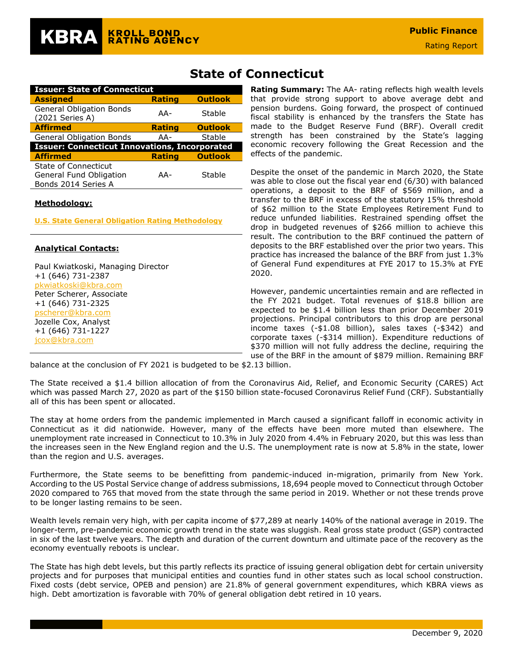| <b>Issuer: State of Connecticut</b>                  |               |                |  |  |  |  |  |
|------------------------------------------------------|---------------|----------------|--|--|--|--|--|
| <b>Assigned</b>                                      | <b>Rating</b> | <b>Outlook</b> |  |  |  |  |  |
| <b>General Obligation Bonds</b><br>(2021 Series A)   | AA-           | Stable         |  |  |  |  |  |
| <b>Affirmed</b>                                      | <b>Rating</b> | <b>Outlook</b> |  |  |  |  |  |
| <b>General Obligation Bonds</b>                      | AA-           | Stable         |  |  |  |  |  |
| <b>Issuer: Connecticut Innovations, Incorporated</b> |               |                |  |  |  |  |  |
| <b>Affirmed</b>                                      | <b>Rating</b> | <b>Outlook</b> |  |  |  |  |  |
| State of Connecticut                                 |               |                |  |  |  |  |  |
| General Fund Obligation                              | AA-           | Stable         |  |  |  |  |  |
| Bonds 2014 Series A                                  |               |                |  |  |  |  |  |

#### **Methodology:**

**[U.S. State General Obligation Rating Methodology](https://documents.krollbondratings.com/report/74)**

#### **Analytical Contacts:**

Paul Kwiatkoski, Managing Director +1 (646) 731-2387 [pkwiatkoski@kbra.com](mailto:pkwiatkoski@kbra.com) Peter Scherer, Associate +1 (646) 731-2325 [pscherer@kbra.com](mailto:pscherer@kbra.com) Jozelle Cox, Analyst +1 (646) 731-1227 [jcox@kbra.com](mailto:jcox@kbra.com) 

# **State of Connecticut**

**Rating Summary:** The AA- rating reflects high wealth levels that provide strong support to above average debt and pension burdens. Going forward, the prospect of continued fiscal stability is enhanced by the transfers the State has made to the Budget Reserve Fund (BRF). Overall credit strength has been constrained by the State's lagging economic recovery following the Great Recession and the effects of the pandemic.

Despite the onset of the pandemic in March 2020, the State was able to close out the fiscal year end (6/30) with balanced operations, a deposit to the BRF of \$569 million, and a transfer to the BRF in excess of the statutory 15% threshold of \$62 million to the State Employees Retirement Fund to reduce unfunded liabilities. Restrained spending offset the drop in budgeted revenues of \$266 million to achieve this result. The contribution to the BRF continued the pattern of deposits to the BRF established over the prior two years. This practice has increased the balance of the BRF from just 1.3% of General Fund expenditures at FYE 2017 to 15.3% at FYE 2020.

However, pandemic uncertainties remain and are reflected in the FY 2021 budget. Total revenues of \$18.8 billion are expected to be \$1.4 billion less than prior December 2019 projections. Principal contributors to this drop are personal income taxes (-\$1.08 billion), sales taxes (-\$342) and corporate taxes (-\$314 million). Expenditure reductions of \$370 million will not fully address the decline, requiring the use of the BRF in the amount of \$879 million. Remaining BRF

balance at the conclusion of FY 2021 is budgeted to be \$2.13 billion.

The State received a \$1.4 billion allocation of from the Coronavirus Aid, Relief, and Economic Security (CARES) Act which was passed March 27, 2020 as part of the \$150 billion state-focused Coronavirus Relief Fund (CRF). Substantially all of this has been spent or allocated.

The stay at home orders from the pandemic implemented in March caused a significant falloff in economic activity in Connecticut as it did nationwide. However, many of the effects have been more muted than elsewhere. The unemployment rate increased in Connecticut to 10.3% in July 2020 from 4.4% in February 2020, but this was less than the increases seen in the New England region and the U.S. The unemployment rate is now at 5.8% in the state, lower than the region and U.S. averages.

Furthermore, the State seems to be benefitting from pandemic-induced in-migration, primarily from New York. According to the US Postal Service change of address submissions, 18,694 people moved to Connecticut through October 2020 compared to 765 that moved from the state through the same period in 2019. Whether or not these trends prove to be longer lasting remains to be seen.

Wealth levels remain very high, with per capita income of \$77,289 at nearly 140% of the national average in 2019. The longer-term, pre-pandemic economic growth trend in the state was sluggish. Real gross state product (GSP) contracted in six of the last twelve years. The depth and duration of the current downturn and ultimate pace of the recovery as the economy eventually reboots is unclear.

The State has high debt levels, but this partly reflects its practice of issuing general obligation debt for certain university projects and for purposes that municipal entities and counties fund in other states such as local school construction. Fixed costs (debt service, OPEB and pension) are 21.8% of general government expenditures, which KBRA views as high. Debt amortization is favorable with 70% of general obligation debt retired in 10 years.

**Public Finance**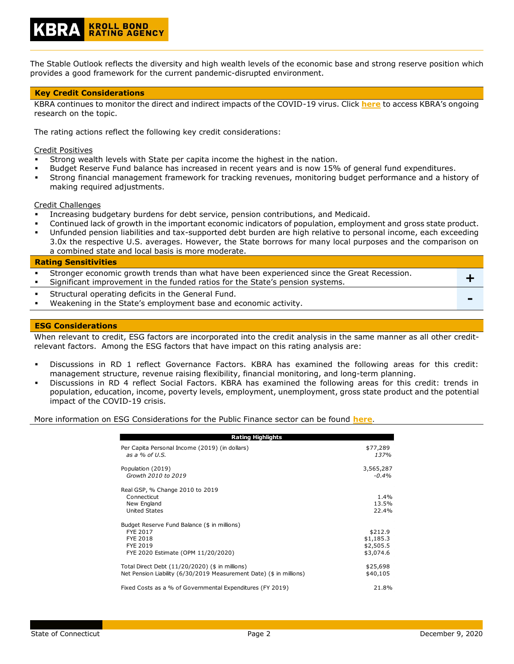

#### **Key Credit Considerations**

**KROLL BOND<br>RATING AGENCY** 

KBRA continues to monitor the direct and indirect impacts of the COVID-19 virus. Click **[here](https://www.krollbondratings.com/search/publications?page=1&publicationType=Research%20Report&q=covid-19§ors=Public%20Finance)** to access KBRA's ongoing research on the topic.

The rating actions reflect the following key credit considerations:

Credit Positives

- Strong wealth levels with State per capita income the highest in the nation.
- Budget Reserve Fund balance has increased in recent years and is now 15% of general fund expenditures.
- Strong financial management framework for tracking revenues, monitoring budget performance and a history of making required adjustments.

#### Credit Challenges

- Increasing budgetary burdens for debt service, pension contributions, and Medicaid.
- Continued lack of growth in the important economic indicators of population, employment and gross state product.
- Unfunded pension liabilities and tax-supported debt burden are high relative to personal income, each exceeding 3.0x the respective U.S. averages. However, the State borrows for many local purposes and the comparison on a combined state and local basis is more moderate.

**Rating Sensitivities**

Stronger economic growth trends than what have been experienced since the Great Recession. Stronger economic growth trends than what have been experienced since the Great Recession. Structural operating deficits in the General Fund. Weakening in the State's employment base and economic activity.

#### **ESG Considerations**

When relevant to credit, ESG factors are incorporated into the credit analysis in the same manner as all other creditrelevant factors. Among the ESG factors that have impact on this rating analysis are:

- Discussions in RD 1 reflect Governance Factors. KBRA has examined the following areas for this credit: management structure, revenue raising flexibility, financial monitoring, and long-term planning.
- Discussions in RD 4 reflect Social Factors. KBRA has examined the following areas for this credit: trends in population, education, income, poverty levels, employment, unemployment, gross state product and the potential impact of the COVID-19 crisis.

More information on ESG Considerations for the Public Finance sector can be found **[here](https://documents.krollbondratings.com/report/26137/public-finance-environmental-social-and-governance-esg-considerations-by-sector)**.

| <b>Rating Highlights</b>                                                                                                      |                                                |
|-------------------------------------------------------------------------------------------------------------------------------|------------------------------------------------|
| Per Capita Personal Income (2019) (in dollars)<br>as a $%$ of U.S.                                                            | \$77,289<br>137%                               |
| Population (2019)<br>Growth 2010 to 2019                                                                                      | 3,565,287<br>$-0.4\%$                          |
| Real GSP, % Change 2010 to 2019<br>Connecticut<br>New England<br><b>United States</b>                                         | 1.4%<br>13.5%<br>22.4%                         |
| Budget Reserve Fund Balance (\$ in millions)<br>FYE 2017<br><b>FYE 2018</b><br>FYE 2019<br>FYE 2020 Estimate (OPM 11/20/2020) | \$212.9<br>\$1,185.3<br>\$2,505.5<br>\$3,074.6 |
| Total Direct Debt $(11/20/2020)$ (\$ in millions)<br>Net Pension Liability (6/30/2019 Measurement Date) (\$ in millions)      | \$25,698<br>\$40,105                           |
| Fixed Costs as a % of Governmental Expenditures (FY 2019)                                                                     | 21.8%                                          |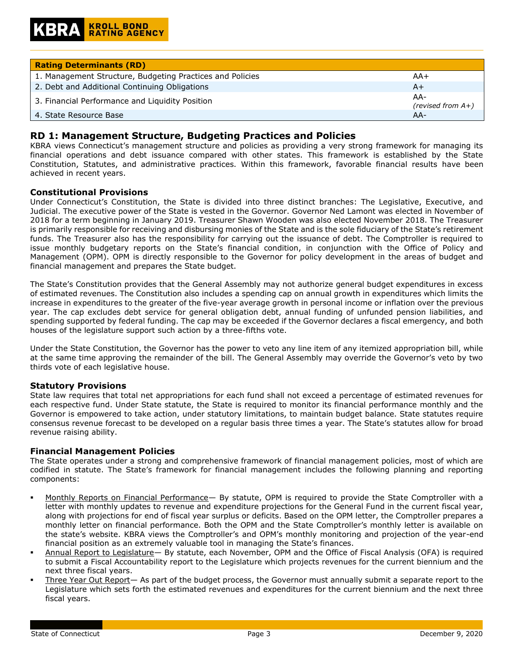| <b>Rating Determinants (RD)</b>                           |                             |
|-----------------------------------------------------------|-----------------------------|
| 1. Management Structure, Budgeting Practices and Policies | AA+                         |
| 2. Debt and Additional Continuing Obligations             | $A+$                        |
| 3. Financial Performance and Liquidity Position           | AA-<br>(revised from $A+$ ) |
| 4. State Resource Base                                    | $AA-$                       |

# **RD 1: Management Structure, Budgeting Practices and Policies**

KBRA views Connecticut's management structure and policies as providing a very strong framework for managing its financial operations and debt issuance compared with other states. This framework is established by the State Constitution, Statutes, and administrative practices. Within this framework, favorable financial results have been achieved in recent years.

#### **Constitutional Provisions**

Under Connecticut's Constitution, the State is divided into three distinct branches: The Legislative, Executive, and Judicial. The executive power of the State is vested in the Governor. Governor Ned Lamont was elected in November of 2018 for a term beginning in January 2019. Treasurer Shawn Wooden was also elected November 2018. The Treasurer is primarily responsible for receiving and disbursing monies of the State and is the sole fiduciary of the State's retirement funds. The Treasurer also has the responsibility for carrying out the issuance of debt. The Comptroller is required to issue monthly budgetary reports on the State's financial condition, in conjunction with the Office of Policy and Management (OPM). OPM is directly responsible to the Governor for policy development in the areas of budget and financial management and prepares the State budget.

The State's Constitution provides that the General Assembly may not authorize general budget expenditures in excess of estimated revenues. The Constitution also includes a spending cap on annual growth in expenditures which limits the increase in expenditures to the greater of the five-year average growth in personal income or inflation over the previous year. The cap excludes debt service for general obligation debt, annual funding of unfunded pension liabilities, and spending supported by federal funding. The cap may be exceeded if the Governor declares a fiscal emergency, and both houses of the legislature support such action by a three-fifths vote.

Under the State Constitution, the Governor has the power to veto any line item of any itemized appropriation bill, while at the same time approving the remainder of the bill. The General Assembly may override the Governor's veto by two thirds vote of each legislative house.

## **Statutory Provisions**

State law requires that total net appropriations for each fund shall not exceed a percentage of estimated revenues for each respective fund. Under State statute, the State is required to monitor its financial performance monthly and the Governor is empowered to take action, under statutory limitations, to maintain budget balance. State statutes require consensus revenue forecast to be developed on a regular basis three times a year. The State's statutes allow for broad revenue raising ability.

## **Financial Management Policies**

The State operates under a strong and comprehensive framework of financial management policies, most of which are codified in statute. The State's framework for financial management includes the following planning and reporting components:

- Monthly Reports on Financial Performance— By statute, OPM is required to provide the State Comptroller with a letter with monthly updates to revenue and expenditure projections for the General Fund in the current fiscal year, along with projections for end of fiscal year surplus or deficits. Based on the OPM letter, the Comptroller prepares a monthly letter on financial performance. Both the OPM and the State Comptroller's monthly letter is available on the state's website. KBRA views the Comptroller's and OPM's monthly monitoring and projection of the year-end financial position as an extremely valuable tool in managing the State's finances.
- Annual Report to Legislature- By statute, each November, OPM and the Office of Fiscal Analysis (OFA) is required to submit a Fiscal Accountability report to the Legislature which projects revenues for the current biennium and the next three fiscal years.
- Three Year Out Report- As part of the budget process, the Governor must annually submit a separate report to the Legislature which sets forth the estimated revenues and expenditures for the current biennium and the next three fiscal years.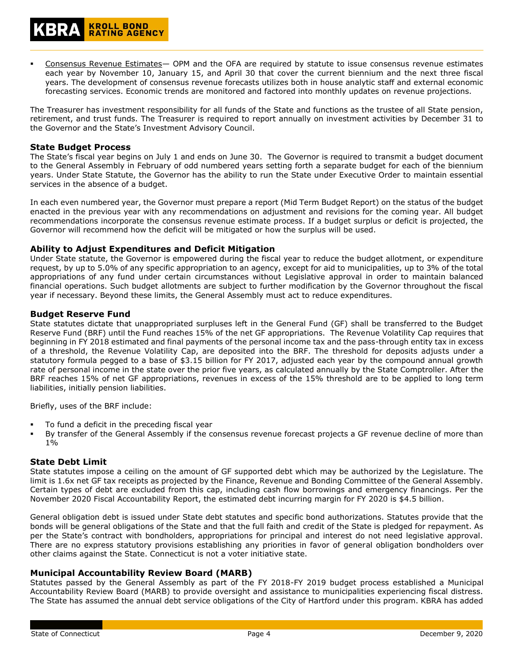The Treasurer has investment responsibility for all funds of the State and functions as the trustee of all State pension, retirement, and trust funds. The Treasurer is required to report annually on investment activities by December 31 to the Governor and the State's Investment Advisory Council.

#### **State Budget Process**

**KROLL BOND<br>RATING AGENCY** 

The State's fiscal year begins on July 1 and ends on June 30. The Governor is required to transmit a budget document to the General Assembly in February of odd numbered years setting forth a separate budget for each of the biennium years. Under State Statute, the Governor has the ability to run the State under Executive Order to maintain essential services in the absence of a budget.

In each even numbered year, the Governor must prepare a report (Mid Term Budget Report) on the status of the budget enacted in the previous year with any recommendations on adjustment and revisions for the coming year. All budget recommendations incorporate the consensus revenue estimate process. If a budget surplus or deficit is projected, the Governor will recommend how the deficit will be mitigated or how the surplus will be used.

## **Ability to Adjust Expenditures and Deficit Mitigation**

Under State statute, the Governor is empowered during the fiscal year to reduce the budget allotment, or expenditure request, by up to 5.0% of any specific appropriation to an agency, except for aid to municipalities, up to 3% of the total appropriations of any fund under certain circumstances without Legislative approval in order to maintain balanced financial operations. Such budget allotments are subject to further modification by the Governor throughout the fiscal year if necessary. Beyond these limits, the General Assembly must act to reduce expenditures.

#### **Budget Reserve Fund**

State statutes dictate that unappropriated surpluses left in the General Fund (GF) shall be transferred to the Budget Reserve Fund (BRF) until the Fund reaches 15% of the net GF appropriations. The Revenue Volatility Cap requires that beginning in FY 2018 estimated and final payments of the personal income tax and the pass-through entity tax in excess of a threshold, the Revenue Volatility Cap, are deposited into the BRF. The threshold for deposits adjusts under a statutory formula pegged to a base of \$3.15 billion for FY 2017, adjusted each year by the compound annual growth rate of personal income in the state over the prior five years, as calculated annually by the State Comptroller. After the BRF reaches 15% of net GF appropriations, revenues in excess of the 15% threshold are to be applied to long term liabilities, initially pension liabilities.

Briefly, uses of the BRF include:

- To fund a deficit in the preceding fiscal year
- By transfer of the General Assembly if the consensus revenue forecast projects a GF revenue decline of more than 1%

#### **State Debt Limit**

State statutes impose a ceiling on the amount of GF supported debt which may be authorized by the Legislature. The limit is 1.6x net GF tax receipts as projected by the Finance, Revenue and Bonding Committee of the General Assembly. Certain types of debt are excluded from this cap, including cash flow borrowings and emergency financings. Per the November 2020 Fiscal Accountability Report, the estimated debt incurring margin for FY 2020 is \$4.5 billion.

General obligation debt is issued under State debt statutes and specific bond authorizations. Statutes provide that the bonds will be general obligations of the State and that the full faith and credit of the State is pledged for repayment. As per the State's contract with bondholders, appropriations for principal and interest do not need legislative approval. There are no express statutory provisions establishing any priorities in favor of general obligation bondholders over other claims against the State. Connecticut is not a voter initiative state.

#### **Municipal Accountability Review Board (MARB)**

Statutes passed by the General Assembly as part of the FY 2018-FY 2019 budget process established a Municipal Accountability Review Board (MARB) to provide oversight and assistance to municipalities experiencing fiscal distress. The State has assumed the annual debt service obligations of the City of Hartford under this program. KBRA has added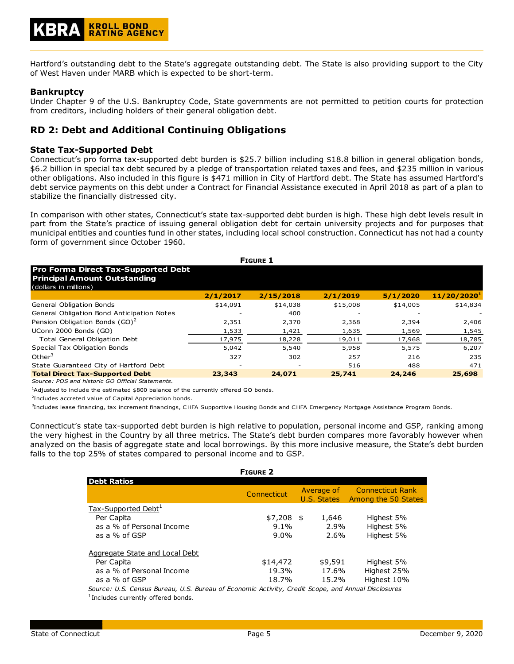

Hartford's outstanding debt to the State's aggregate outstanding debt. The State is also providing support to the City of West Haven under MARB which is expected to be short-term.

## **Bankruptcy**

Under Chapter 9 of the U.S. Bankruptcy Code, State governments are not permitted to petition courts for protection from creditors, including holders of their general obligation debt.

# **RD 2: Debt and Additional Continuing Obligations**

#### **State Tax-Supported Debt**

Connecticut's pro forma tax-supported debt burden is \$25.7 billion including \$18.8 billion in general obligation bonds, \$6.2 billion in special tax debt secured by a pledge of transportation related taxes and fees, and \$235 million in various other obligations. Also included in this figure is \$471 million in City of Hartford debt. The State has assumed Hartford's debt service payments on this debt under a Contract for Financial Assistance executed in April 2018 as part of a plan to stabilize the financially distressed city.

In comparison with other states, Connecticut's state tax-supported debt burden is high. These high debt levels result in part from the State's practice of issuing general obligation debt for certain university projects and for purposes that municipal entities and counties fund in other states, including local school construction. Connecticut has not had a county form of government since October 1960.

| <b>FIGURE 1</b>                                                                                            |          |                          |          |          |                         |  |  |
|------------------------------------------------------------------------------------------------------------|----------|--------------------------|----------|----------|-------------------------|--|--|
| <b>Pro Forma Direct Tax-Supported Debt</b><br><b>Principal Amount Outstanding</b><br>(dollars in millions) |          |                          |          |          |                         |  |  |
|                                                                                                            | 2/1/2017 | 2/15/2018                | 2/1/2019 | 5/1/2020 | 11/20/2020 <sup>1</sup> |  |  |
| General Obligation Bonds                                                                                   | \$14,091 | \$14,038                 | \$15,008 | \$14,005 | \$14,834                |  |  |
| General Obligation Bond Anticipation Notes                                                                 |          | 400                      |          |          |                         |  |  |
| Pension Obligation Bonds (GO) <sup>2</sup>                                                                 | 2,351    | 2,370                    | 2,368    | 2,394    | 2,406                   |  |  |
| UConn 2000 Bonds (GO)                                                                                      | 1,533    | 1,421                    | 1,635    | 1,569    | 1,545                   |  |  |
| <b>Total General Obligation Debt</b>                                                                       | 17,975   | 18,228                   | 19,011   | 17,968   | 18,785                  |  |  |
| Special Tax Obligation Bonds                                                                               | 5,042    | 5,540                    | 5,958    | 5,575    | 6,207                   |  |  |
| Other <sup>3</sup>                                                                                         | 327      | 302                      | 257      | 216      | 235                     |  |  |
| State Guaranteed City of Hartford Debt                                                                     |          | $\overline{\phantom{a}}$ | 516      | 488      | 471                     |  |  |
| <b>Total Direct Tax-Supported Debt</b><br>Source: POS and historic GO Official Statements.                 | 23,343   | 24,071                   | 25,741   | 24,246   | 25,698                  |  |  |

 $1$ Adjusted to include the estimated \$800 balance of the currently offered GO bonds.

<sup>2</sup>Includes accreted value of Capital Appreciation bonds.

3 Includes lease financing, tax increment financings, CHFA Supportive Housing Bonds and CHFA Emergency Mortgage Assistance Program Bonds.

Connecticut's state tax-supported debt burden is high relative to population, personal income and GSP, ranking among the very highest in the Country by all three metrics. The State's debt burden compares more favorably however when analyzed on the basis of aggregate state and local borrowings. By this more inclusive measure, the State's debt burden falls to the top 25% of states compared to personal income and to GSP.

|                                                                                                    | <b>FIGURE 2</b> |                           |                                                |
|----------------------------------------------------------------------------------------------------|-----------------|---------------------------|------------------------------------------------|
| <b>Debt Ratios</b>                                                                                 |                 |                           |                                                |
|                                                                                                    | Connecticut     | Average of<br>U.S. States | <b>Connecticut Rank</b><br>Among the 50 States |
| Tax-Supported Debt <sup>1</sup>                                                                    |                 |                           |                                                |
| Per Capita                                                                                         | $$7,208$ \$     | 1,646                     | Highest 5%                                     |
| as a % of Personal Income                                                                          | $9.1\%$         | 2.9%                      | Highest 5%                                     |
| as a % of GSP                                                                                      | $9.0\%$         | 2.6%                      | Highest 5%                                     |
| Aggregate State and Local Debt                                                                     |                 |                           |                                                |
| Per Capita                                                                                         | \$14,472        | \$9,591                   | Highest 5%                                     |
| as a % of Personal Income                                                                          | 19.3%           | 17.6%                     | Highest 25%                                    |
| as a % of GSP                                                                                      | 18.7%           | 15.2%                     | Highest 10%                                    |
| Source: U.S. Census Bureau, U.S. Bureau of Economic Activity, Credit Scope, and Annual Disclosures |                 |                           |                                                |
| <sup>1</sup> Includes currently offered bonds.                                                     |                 |                           |                                                |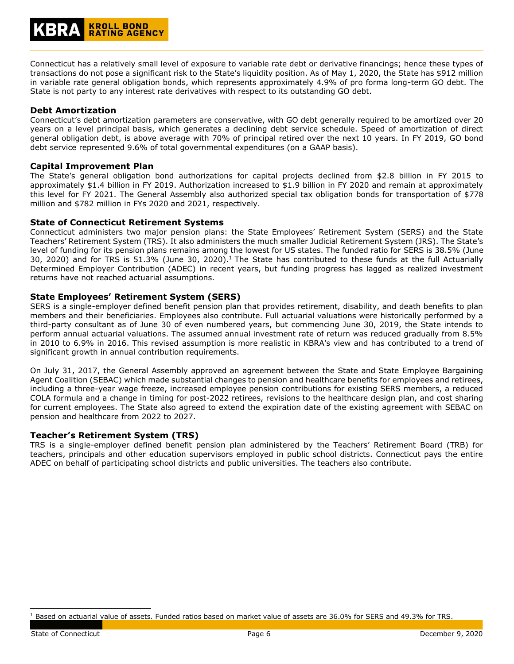Connecticut has a relatively small level of exposure to variable rate debt or derivative financings; hence these types of transactions do not pose a significant risk to the State's liquidity position. As of May 1, 2020, the State has \$912 million in variable rate general obligation bonds, which represents approximately 4.9% of pro forma long-term GO debt. The State is not party to any interest rate derivatives with respect to its outstanding GO debt.

## **Debt Amortization**

Connecticut's debt amortization parameters are conservative, with GO debt generally required to be amortized over 20 years on a level principal basis, which generates a declining debt service schedule. Speed of amortization of direct general obligation debt, is above average with 70% of principal retired over the next 10 years. In FY 2019, GO bond debt service represented 9.6% of total governmental expenditures (on a GAAP basis).

## **Capital Improvement Plan**

The State's general obligation bond authorizations for capital projects declined from \$2.8 billion in FY 2015 to approximately \$1.4 billion in FY 2019. Authorization increased to \$1.9 billion in FY 2020 and remain at approximately this level for FY 2021. The General Assembly also authorized special tax obligation bonds for transportation of \$778 million and \$782 million in FYs 2020 and 2021, respectively.

## **State of Connecticut Retirement Systems**

Connecticut administers two major pension plans: the State Employees' Retirement System (SERS) and the State Teachers' Retirement System (TRS). It also administers the much smaller Judicial Retirement System (JRS). The State's level of funding for its pension plans remains among the lowest for US states. The funded ratio for SERS is 38.5% (June 30, 2020) and for TRS is 51.3% (June 30, 2020). <sup>1</sup> The State has contributed to these funds at the full Actuarially Determined Employer Contribution (ADEC) in recent years, but funding progress has lagged as realized investment returns have not reached actuarial assumptions.

## **State Employees' Retirement System (SERS)**

SERS is a single-employer defined benefit pension plan that provides retirement, disability, and death benefits to plan members and their beneficiaries. Employees also contribute. Full actuarial valuations were historically performed by a third-party consultant as of June 30 of even numbered years, but commencing June 30, 2019, the State intends to perform annual actuarial valuations. The assumed annual investment rate of return was reduced gradually from 8.5% in 2010 to 6.9% in 2016. This revised assumption is more realistic in KBRA's view and has contributed to a trend of significant growth in annual contribution requirements.

On July 31, 2017, the General Assembly approved an agreement between the State and State Employee Bargaining Agent Coalition (SEBAC) which made substantial changes to pension and healthcare benefits for employees and retirees, including a three-year wage freeze, increased employee pension contributions for existing SERS members, a reduced COLA formula and a change in timing for post-2022 retirees, revisions to the healthcare design plan, and cost sharing for current employees. The State also agreed to extend the expiration date of the existing agreement with SEBAC on pension and healthcare from 2022 to 2027.

# **Teacher's Retirement System (TRS)**

TRS is a single-employer defined benefit pension plan administered by the Teachers' Retirement Board (TRB) for teachers, principals and other education supervisors employed in public school districts. Connecticut pays the entire ADEC on behalf of participating school districts and public universities. The teachers also contribute.

<sup>&</sup>lt;sup>1</sup> Based on actuarial value of assets. Funded ratios based on market value of assets are 36.0% for SERS and 49.3% for TRS.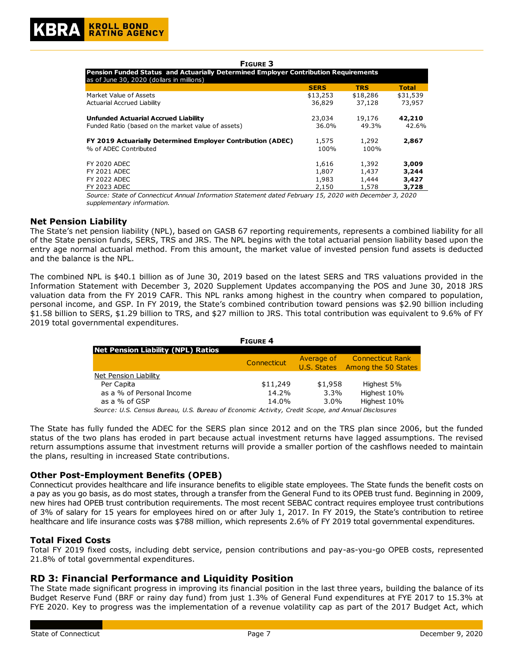#### **FIGURE 3**

| Pension Funded Status and Actuarially Determined Employer Contribution Requirements |             |            |              |  |  |
|-------------------------------------------------------------------------------------|-------------|------------|--------------|--|--|
| as of June 30, 2020 (dollars in millions)                                           |             |            |              |  |  |
|                                                                                     | <b>SERS</b> | <b>TRS</b> | <b>Total</b> |  |  |
| Market Value of Assets                                                              | \$13,253    | \$18,286   | \$31,539     |  |  |
| <b>Actuarial Accrued Liability</b>                                                  | 36,829      | 37,128     | 73,957       |  |  |
| <b>Unfunded Actuarial Accrued Liability</b>                                         | 23,034      | 19,176     | 42,210       |  |  |
| Funded Ratio (based on the market value of assets)                                  | 36.0%       | 49.3%      | 42.6%        |  |  |
| FY 2019 Actuarially Determined Employer Contribution (ADEC)                         | 1,575       | 1,292      | 2,867        |  |  |
| % of ADEC Contributed                                                               | 100%        | 100%       |              |  |  |
| <b>FY 2020 ADEC</b>                                                                 | 1,616       | 1,392      | 3,009        |  |  |
| <b>FY 2021 ADEC</b>                                                                 | 1,807       | 1,437      | 3,244        |  |  |
| <b>FY 2022 ADEC</b>                                                                 | 1,983       | 1,444      | 3,427        |  |  |
| <b>FY 2023 ADEC</b>                                                                 | 2,150       | 1,578      | 3,728        |  |  |

*Source: State of Connecticut Annual Information Statement dated February 15, 2020 with December 3, 2020 supplementary information.*

#### **Net Pension Liability**

The State's net pension liability (NPL), based on GASB 67 reporting requirements, represents a combined liability for all of the State pension funds, SERS, TRS and JRS. The NPL begins with the total actuarial pension liability based upon the entry age normal actuarial method. From this amount, the market value of invested pension fund assets is deducted and the balance is the NPL.

The combined NPL is \$40.1 billion as of June 30, 2019 based on the latest SERS and TRS valuations provided in the Information Statement with December 3, 2020 Supplement Updates accompanying the POS and June 30, 2018 JRS valuation data from the FY 2019 CAFR. This NPL ranks among highest in the country when compared to population, personal income, and GSP. In FY 2019, the State's combined contribution toward pensions was \$2.90 billion including \$1.58 billion to SERS, \$1.29 billion to TRS, and \$27 million to JRS. This total contribution was equivalent to 9.6% of FY 2019 total governmental expenditures.

|                                                                                                    | <b>FIGURE 4</b>    |             |                             |
|----------------------------------------------------------------------------------------------------|--------------------|-------------|-----------------------------|
| Net Pension Liability (NPL) Ratios                                                                 |                    |             |                             |
|                                                                                                    | <b>Connecticut</b> |             | Average of Connecticut Rank |
|                                                                                                    |                    | U.S. States | Among the 50 States         |
| Net Pension Liability                                                                              |                    |             |                             |
| Per Capita                                                                                         | \$11,249           | \$1,958     | Highest 5%                  |
| as a % of Personal Income                                                                          | 14.2%              | $3.3\%$     | Highest 10%                 |
| as a % of GSP                                                                                      | 14.0%              | $3.0\%$     | Highest 10%                 |
| Source: U.S. Census Bureau, U.S. Bureau of Economic Activity, Credit Scope, and Annual Disclosures |                    |             |                             |

The State has fully funded the ADEC for the SERS plan since 2012 and on the TRS plan since 2006, but the funded status of the two plans has eroded in part because actual investment returns have lagged assumptions. The revised return assumptions assume that investment returns will provide a smaller portion of the cashflows needed to maintain the plans, resulting in increased State contributions.

## **Other Post-Employment Benefits (OPEB)**

Connecticut provides healthcare and life insurance benefits to eligible state employees. The State funds the benefit costs on a pay as you go basis, as do most states, through a transfer from the General Fund to its OPEB trust fund. Beginning in 2009, new hires had OPEB trust contribution requirements. The most recent SEBAC contract requires employee trust contributions of 3% of salary for 15 years for employees hired on or after July 1, 2017. In FY 2019, the State's contribution to retiree healthcare and life insurance costs was \$788 million, which represents 2.6% of FY 2019 total governmental expenditures.

## **Total Fixed Costs**

Total FY 2019 fixed costs, including debt service, pension contributions and pay-as-you-go OPEB costs, represented 21.8% of total governmental expenditures.

## **RD 3: Financial Performance and Liquidity Position**

The State made significant progress in improving its financial position in the last three years, building the balance of its Budget Reserve Fund (BRF or rainy day fund) from just 1.3% of General Fund expenditures at FYE 2017 to 15.3% at FYE 2020. Key to progress was the implementation of a revenue volatility cap as part of the 2017 Budget Act, which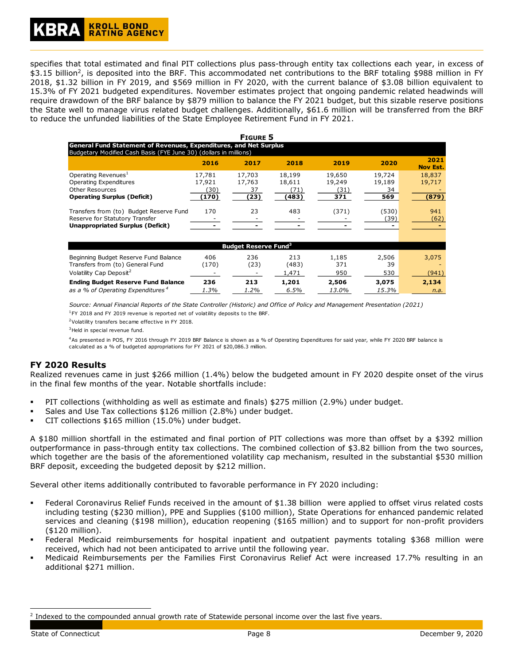# **KROLL BOND RATING AGENCY**

specifies that total estimated and final PIT collections plus pass-through entity tax collections each year, in excess of \$3.15 billion<sup>2</sup>, is deposited into the BRF. This accommodated net contributions to the BRF totaling \$988 million in FY 2018, \$1.32 billion in FY 2019, and \$569 million in FY 2020, with the current balance of \$3.08 billion equivalent to 15.3% of FY 2021 budgeted expenditures. November estimates project that ongoing pandemic related headwinds will require drawdown of the BRF balance by \$879 million to balance the FY 2021 budget, but this sizable reserve positions the State well to manage virus related budget challenges. Additionally, \$61.6 million will be transferred from the BRF to reduce the unfunded liabilities of the State Employee Retirement Fund in FY 2021.

|                                                                                                                                               |                          | <b>FIGURE 5</b>                        |                          |                          |                        |                         |
|-----------------------------------------------------------------------------------------------------------------------------------------------|--------------------------|----------------------------------------|--------------------------|--------------------------|------------------------|-------------------------|
| <b>General Fund Statement of Revenues, Expenditures, and Net Surplus</b><br>Budgetary Modified Cash Basis (FYE June 30) (dollars in millions) |                          |                                        |                          |                          |                        |                         |
|                                                                                                                                               | 2016                     | 2017                                   | 2018                     | 2019                     | 2020                   | 2021<br><b>Nov Est.</b> |
| Operating Revenues <sup>1</sup><br>Operating Expenditures<br><b>Other Resources</b>                                                           | 17,781<br>17,921<br>(30) | 17,703<br>17,763<br>37                 | 18,199<br>18,611<br>(71) | 19,650<br>19,249<br>(31) | 19,724<br>19,189<br>34 | 18,837<br>19,717        |
| <b>Operating Surplus (Deficit)</b>                                                                                                            | (170)                    | (23)                                   | (483)                    | 371                      | 569                    | (879)                   |
| Transfers from (to) Budget Reserve Fund<br>Reserve for Statutory Transfer                                                                     | 170                      | 23                                     | 483                      | (371)                    | (530)<br>(39)          | 941<br>(62)             |
| <b>Unappropriated Surplus (Deficit)</b>                                                                                                       |                          |                                        |                          |                          |                        |                         |
|                                                                                                                                               |                          |                                        |                          |                          |                        |                         |
|                                                                                                                                               |                          | <b>Budget Reserve Fund<sup>3</sup></b> |                          |                          |                        |                         |
| Beginning Budget Reserve Fund Balance<br>Transfers from (to) General Fund                                                                     | 406<br>(170)             | 236<br>(23)                            | 213<br>(483)             | 1,185<br>371             | 2,506<br>39            | 3,075                   |
| Volatility Cap Deposit <sup>2</sup>                                                                                                           |                          |                                        | 1,471                    | 950                      | 530                    | (941)                   |

*Source: Annual Financial Reports of the State Controller (Historic) and Office of Policy and Management Presentation (2021)*

<sup>1</sup>FY 2018 and FY 2019 revenue is reported net of volatility deposits to the BRF.

<sup>2</sup>Volatility transfers became effective in FY 2018.

<sup>3</sup> Held in special revenue fund.

<sup>4</sup>As presented in POS, FY 2016 through FY 2019 BRF Balance is shown as a % of Operating Expenditures for said year, while FY 2020 BRF balance is calculated as a % of budgeted appropriations for FY 2021 of \$20,086.3 million.

**Ending Budget Reserve Fund Balance 236 213 1,201 2,506 3,075 2,134** *as a % of Operating Expenditures <sup>4</sup> 1.3% 1.2% 6.5% 13.0% 15.3% n.a.*

# **FY 2020 Results**

Realized revenues came in just \$266 million (1.4%) below the budgeted amount in FY 2020 despite onset of the virus in the final few months of the year. Notable shortfalls include:

- PIT collections (withholding as well as estimate and finals) \$275 million (2.9%) under budget.
- Sales and Use Tax collections \$126 million (2.8%) under budget.
- CIT collections \$165 million (15.0%) under budget.

A \$180 million shortfall in the estimated and final portion of PIT collections was more than offset by a \$392 million outperformance in pass-through entity tax collections. The combined collection of \$3.82 billion from the two sources, which together are the basis of the aforementioned volatility cap mechanism, resulted in the substantial \$530 million BRF deposit, exceeding the budgeted deposit by \$212 million.

Several other items additionally contributed to favorable performance in FY 2020 including:

- Federal Coronavirus Relief Funds received in the amount of \$1.38 billion were applied to offset virus related costs including testing (\$230 million), PPE and Supplies (\$100 million), State Operations for enhanced pandemic related services and cleaning (\$198 million), education reopening (\$165 million) and to support for non-profit providers (\$120 million).
- Federal Medicaid reimbursements for hospital inpatient and outpatient payments totaling \$368 million were received, which had not been anticipated to arrive until the following year.
- Medicaid Reimbursements per the Families First Coronavirus Relief Act were increased 17.7% resulting in an additional \$271 million.

<sup>&</sup>lt;sup>2</sup> Indexed to the compounded annual growth rate of Statewide personal income over the last five years.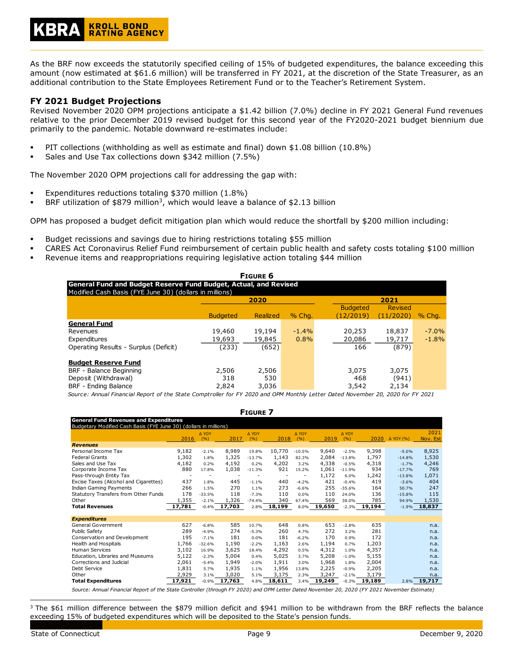# **KROLL BOND RATING AGENCY**

As the BRF now exceeds the statutorily specified ceiling of 15% of budgeted expenditures, the balance exceeding this amount (now estimated at \$61.6 million) will be transferred in FY 2021, at the discretion of the State Treasurer, as an additional contribution to the State Employees Retirement Fund or to the Teacher's Retirement System.

## **FY 2021 Budget Projections**

Revised November 2020 OPM projections anticipate a \$1.42 billion (7.0%) decline in FY 2021 General Fund revenues relative to the prior December 2019 revised budget for this second year of the FY2020-2021 budget biennium due primarily to the pandemic. Notable downward re-estimates include:

- PIT collections (withholding as well as estimate and final) down \$1.08 billion (10.8%)
- Sales and Use Tax collections down \$342 million (7.5%)

The November 2020 OPM projections call for addressing the gap with:

- Expenditures reductions totaling \$370 million (1.8%)
- **BRF** utilization of \$879 million<sup>3</sup>, which would leave a balance of \$2.13 billion

OPM has proposed a budget deficit mitigation plan which would reduce the shortfall by \$200 million including:

- Budget recissions and savings due to hiring restrictions totaling \$55 million
- CARES Act Coronavirus Relief Fund reimbursement of certain public health and safety costs totaling \$100 million
- Revenue items and reappropriations requiring legislative action totaling \$44 million

| <b>FIGURE 6</b>                                                  |                 |          |         |  |                 |           |          |  |
|------------------------------------------------------------------|-----------------|----------|---------|--|-----------------|-----------|----------|--|
| General Fund and Budget Reserve Fund Budget, Actual, and Revised |                 |          |         |  |                 |           |          |  |
| Modified Cash Basis (FYE June 30) (dollars in millions)          |                 |          |         |  |                 |           |          |  |
|                                                                  |                 | 2020     |         |  |                 | 2021      |          |  |
|                                                                  |                 |          |         |  | <b>Budgeted</b> | Revised   |          |  |
|                                                                  | <b>Budgeted</b> | Realized | % Cha.  |  | (12/2019)       | (11/2020) | $%$ Chq. |  |
| <b>General Fund</b>                                              |                 |          |         |  |                 |           |          |  |
| Revenues                                                         | 19,460          | 19,194   | $-1.4%$ |  | 20,253          | 18,837    | $-7.0%$  |  |
| Expenditures                                                     | 19,693          | 19,845   | 0.8%    |  | 20,086          | 19,717    | $-1.8%$  |  |
| Operating Results - Surplus (Deficit)                            | (233)           | (652)    |         |  | 166             | (879)     |          |  |
| <b>Budget Reserve Fund</b>                                       |                 |          |         |  |                 |           |          |  |
| BRF - Balance Beginning                                          | 2,506           | 2,506    |         |  | 3,075           | 3,075     |          |  |
| Deposit (Withdrawal)                                             | 318             | 530      |         |  | 468             | (941)     |          |  |
| BRF - Ending Balance                                             | 2,824           | 3,036    |         |  | 3,542           | 2,134     |          |  |

*Source: Annual Financial Report of the State Comptroller for FY 2020 and OPM Monthly Letter Dated November 20, 2020 for FY 2021*

**FIGURE 7**

2016 ∆ YOY  $(%)$  2017 ∆ YOY  $(%)$  2018 ∆ YOY  $(%)$  2019 ∆ YOY  $($ %) 2020 Δ YOY (%) 2021 Nov. Est *Revenues* Personal Income Tax 9,182 -2.1% 8,989 19.8% 10,770 -10.5% 9,640 -2.5% 9,398 -5.0% 8,925 Federal Grants 1,302 1.8% 1,325 -13.7% 1,143 82.3% 2,084 -13.8% 1,797 -14.8% 1,530 Sales and Use Tax 4,182 0.2% 4,192 0.2% 4,202 3.2% 4,338 -0.5% 4,318 -1.7% 4,246 Corporate Income Tax  $1,038$  17.8%  $1,038$  -11.3% 921 15.2%  $1,061$  -11.9% 934 -17.7% 769<br>Pass-through Entity Tax 1,071 Pass-through Entity Tax - - - - - - - - - 1,172 6.0% 1,242 -13.8% 1,071<br>Pacise Taxes (Alcohol and Cigarettes) - 437 1.8% - 445 -1.1% - 440 -4.2% - 421 -0.4% - 419 - -3.6% - 404 Excise Taxes (Alcohol and Cigarettes) 437 1.8% 445 -1.1% 440 -4.2% 421 -0.4% 419 -3.6% 404 **Indian Gaming Payments** Statutory Transfers from Other Funds 178 -33.5% 118 -7.3% 110 0.0% 110 24.0% 136 -15.8% 115 Other 1,355 -2.1% 1,326 -74.4% 340 67.4% 569 38.0% 785 94.9% 1,530 **Total Revenues 17,781** -0.4% **17,703** 2.8% **18,199** 8.0% **19,650** -2.3% **19,194** -1.9% **18,837** *Expenditures* General Government 627 -6.8% 585 10.7% 648 0.8% 653 -2.8% 635 n.a. Public Safety 289 -4.9% 274 -5.3% 260 4.7% 272 3.2% 281 n.a. Conservation and Development 195 -7.1% 181 0.0% 181 -6.2% 170 0.9% 172 n.a.<br>Health and Hospitals 1.766 -32.6% 1,190 -2.2% 1,163 2.6% 1,194 0.7% 1,203 n.a. Health and Hospitals 1,766 -32.6% 1,190 -2.2% 1,163 2.6% 1,194 0.7% 1,203 n.a.<br>Human Services 1,102 16.9% 3,625 18.4% 4,292 0.5% 4,312 1.0% 4,357 n.a. Human Services 3,102 16.9% 3,625 18.4% 4,292 0.5% 4,312 1.0% 4,357 n.a. Education, Libraries and Museums 5,122 -2.3% 5,004 0.4% 5,025 3.7% 5,208 -1.0% 5,155 n.a.<br>Corrections and Judicial 2,061 -5.4% 1,949 -2.0% 1,911 3.0% 1,968 1.8% 2,004 n.a. Corrections and Judicial 2,061 -5.4% 1,949 -2.0% 1,911 3.0% 1,968 1.8% 2,004 n.a. Debt Service 1,831 5.7% 1,935 1.1% 1,956 13.8% 2,225 -0.9% 2,205 n.a. Other 2,929 3.1% 3,020 5.1% 3,175 2.3% 3,247 -2.1% 3,179 n.a. **Total Expenditures 17,921** -0.9% **17,763** 4.8% **18,611** 3.4% **19,249** -0.3% **19,189** 2.8% **19,717 Expenditure Belle Revenues and Expenditure** Budgetary Modified Cash Basis (FYE June 30) (dollars in millions)

*Source: Annual Financial Report of the State Controller (through FY 2020) and OPM Letter Dated November 20, 2020 (FY 2021 November Estimate)*

 $3$  The \$61 million difference between the \$879 million deficit and \$941 million to be withdrawn from the BRF reflects the balance exceeding 15% of budgeted expenditures which will be deposited to the State's pension funds.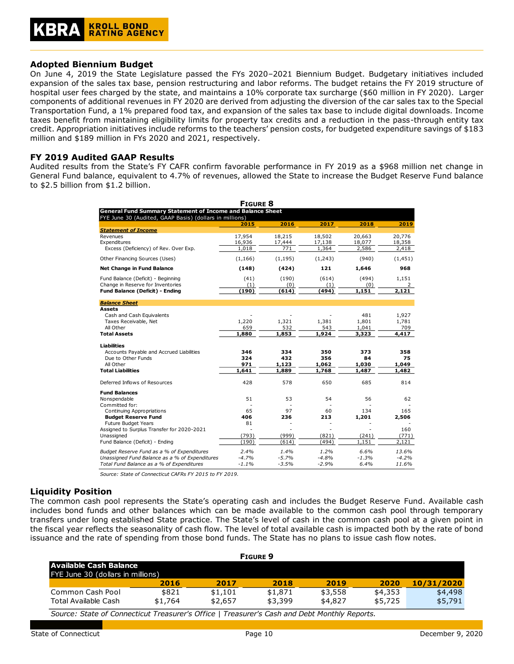## **Adopted Biennium Budget**

On June 4, 2019 the State Legislature passed the FYs 2020–2021 Biennium Budget. Budgetary initiatives included expansion of the sales tax base, pension restructuring and labor reforms. The budget retains the FY 2019 structure of hospital user fees charged by the state, and maintains a 10% corporate tax surcharge (\$60 million in FY 2020). Larger components of additional revenues in FY 2020 are derived from adjusting the diversion of the car sales tax to the Special Transportation Fund, a 1% prepared food tax, and expansion of the sales tax base to include digital downloads. Income taxes benefit from maintaining eligibility limits for property tax credits and a reduction in the pass-through entity tax credit. Appropriation initiatives include reforms to the teachers' pension costs, for budgeted expenditure savings of \$183 million and \$189 million in FYs 2020 and 2021, respectively.

## **FY 2019 Audited GAAP Results**

Audited results from the State's FY CAFR confirm favorable performance in FY 2019 as a \$968 million net change in General Fund balance, equivalent to 4.7% of revenues, allowed the State to increase the Budget Reserve Fund balance to \$2.5 billion from \$1.2 billion.

| <b>FIGURE 8</b>                                |                                                                                                                              |          |         |         |          |  |  |  |  |
|------------------------------------------------|------------------------------------------------------------------------------------------------------------------------------|----------|---------|---------|----------|--|--|--|--|
|                                                | <b>General Fund Summary Statement of Income and Balance Sheet</b><br>FYE June 30 (Audited, GAAP Basis) (dollars in millions) |          |         |         |          |  |  |  |  |
|                                                | 2015                                                                                                                         | 2016     | 2017    | 2018    | 2019     |  |  |  |  |
| <b>Statement of Income</b>                     |                                                                                                                              |          |         |         |          |  |  |  |  |
| Revenues                                       | 17,954                                                                                                                       | 18,215   | 18,502  | 20,663  | 20,776   |  |  |  |  |
| Expenditures                                   | 16,936                                                                                                                       | 17,444   | 17,138  | 18,077  | 18,358   |  |  |  |  |
| Excess (Deficiency) of Rev. Over Exp.          | $\overline{1,018}$                                                                                                           | 771      | 1,364   | 2,586   | 2,418    |  |  |  |  |
| Other Financing Sources (Uses)                 | (1, 166)                                                                                                                     | (1, 195) | (1,243) | (940)   | (1, 451) |  |  |  |  |
| <b>Net Change in Fund Balance</b>              | (148)                                                                                                                        | (424)    | 121     | 1.646   | 968      |  |  |  |  |
| Fund Balance (Deficit) - Beginning             | (41)                                                                                                                         | (190)    | (614)   | (494)   | 1.151    |  |  |  |  |
| Change in Reserve for Inventories              | (1)                                                                                                                          | (0)      | (1)     | (0)     | 2        |  |  |  |  |
| <b>Fund Balance (Deficit) - Ending</b>         | (190)                                                                                                                        | (614)    | (494)   | 1,151   | 2,121    |  |  |  |  |
| <b>Balance Sheet</b>                           |                                                                                                                              |          |         |         |          |  |  |  |  |
| Assets                                         |                                                                                                                              |          |         |         |          |  |  |  |  |
| Cash and Cash Equivalents                      |                                                                                                                              |          |         | 481     | 1,927    |  |  |  |  |
| Taxes Receivable, Net                          | 1,220                                                                                                                        | 1,321    | 1,381   | 1,801   | 1,781    |  |  |  |  |
| All Other                                      | 659                                                                                                                          | 532      | 543     | 1,041   | 709      |  |  |  |  |
| <b>Total Assets</b>                            | 1,880                                                                                                                        | 1,853    | 1,924   | 3,323   | 4,417    |  |  |  |  |
| <b>Liabilities</b>                             |                                                                                                                              |          |         |         |          |  |  |  |  |
| Accounts Payable and Accrued Liabilities       | 346                                                                                                                          | 334      | 350     | 373     | 358      |  |  |  |  |
| Due to Other Funds                             | 324                                                                                                                          | 432      | 356     | 84      | 75       |  |  |  |  |
| All Other                                      | 971                                                                                                                          | 1,123    | 1,062   | 1,030   | 1,049    |  |  |  |  |
| <b>Total Liabilities</b>                       | 1.641                                                                                                                        | 1,889    | 1,768   | 1,487   | 1,482    |  |  |  |  |
| Deferred Inflows of Resources                  | 428                                                                                                                          | 578      | 650     | 685     | 814      |  |  |  |  |
| <b>Fund Balances</b>                           |                                                                                                                              |          |         |         |          |  |  |  |  |
| Nonspendable                                   | 51                                                                                                                           | 53       | 54      | 56      | 62       |  |  |  |  |
| Committed for:                                 |                                                                                                                              |          |         |         |          |  |  |  |  |
| Continuing Appropriations                      | 65                                                                                                                           | 97       | 60      | 134     | 165      |  |  |  |  |
| <b>Budget Reserve Fund</b>                     | 406                                                                                                                          | 236      | 213     | 1,201   | 2,506    |  |  |  |  |
| Future Budget Years                            | 81                                                                                                                           |          |         |         |          |  |  |  |  |
| Assigned to Surplus Transfer for 2020-2021     |                                                                                                                              |          |         |         | 160      |  |  |  |  |
| Unassigned                                     | (793)                                                                                                                        | (999)    | (821)   | (241)   | (771)    |  |  |  |  |
| Fund Balance (Deficit) - Ending                | (190)                                                                                                                        | (614)    | (494)   | 1,151   | 2,121    |  |  |  |  |
| Budget Reserve Fund as a % of Expenditures     | 2.4%                                                                                                                         | 1.4%     | 1.2%    | 6.6%    | 13.6%    |  |  |  |  |
| Unassigned Fund Balance as a % of Expenditures | $-4.7%$                                                                                                                      | $-5.7%$  | $-4.8%$ | $-1.3%$ | $-4.2%$  |  |  |  |  |
| Total Fund Balance as a % of Expenditures      | $-1.1%$                                                                                                                      | $-3.5%$  | $-2.9%$ | 6.4%    | 11.6%    |  |  |  |  |

*Source: State of Connecticut CAFRs FY 2015 to FY 2019.*

# **Liquidity Position**

The common cash pool represents the State's operating cash and includes the Budget Reserve Fund. Available cash includes bond funds and other balances which can be made available to the common cash pool through temporary transfers under long established State practice. The State's level of cash in the common cash pool at a given point in the fiscal year reflects the seasonality of cash flow. The level of total available cash is impacted both by the rate of bond issuance and the rate of spending from those bond funds. The State has no plans to issue cash flow notes.

| <b>FIGURE 9</b>                   |         |         |         |         |         |            |
|-----------------------------------|---------|---------|---------|---------|---------|------------|
| Available Cash Balance            |         |         |         |         |         |            |
| FYE June 30 (dollars in millions) |         |         |         |         |         |            |
|                                   | 2016    | 2017    | 2018    | 2019    | 2020    | 10/31/2020 |
| Common Cash Pool                  | \$821   | \$1,101 | \$1,871 | \$3,558 | \$4,353 | \$4,498    |
| Total Available Cash              | \$1,764 | \$2,657 | \$3,399 | \$4,827 | \$5,725 | \$5,791    |

*Source: State of Connecticut Treasurer's Office | Treasurer's Cash and Debt Monthly Reports.*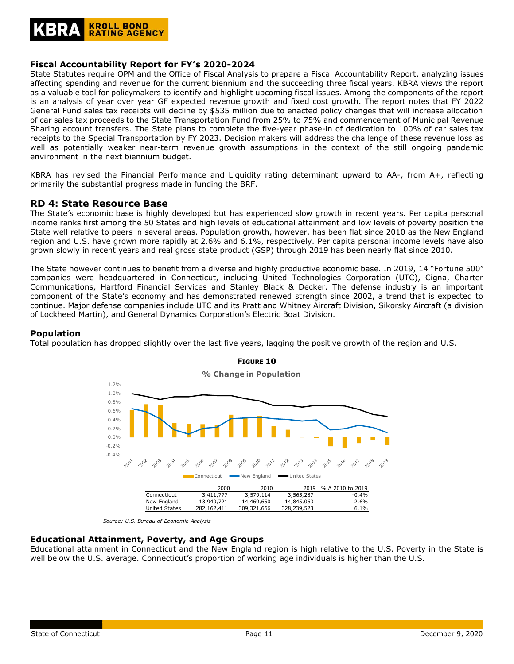

## **Fiscal Accountability Report for FY's 2020-2024**

State Statutes require OPM and the Office of Fiscal Analysis to prepare a Fiscal Accountability Report, analyzing issues affecting spending and revenue for the current biennium and the succeeding three fiscal years. KBRA views the report as a valuable tool for policymakers to identify and highlight upcoming fiscal issues. Among the components of the report is an analysis of year over year GF expected revenue growth and fixed cost growth. The report notes that FY 2022 General Fund sales tax receipts will decline by \$535 million due to enacted policy changes that will increase allocation of car sales tax proceeds to the State Transportation Fund from 25% to 75% and commencement of Municipal Revenue Sharing account transfers. The State plans to complete the five-year phase-in of dedication to 100% of car sales tax receipts to the Special Transportation by FY 2023. Decision makers will address the challenge of these revenue loss as well as potentially weaker near-term revenue growth assumptions in the context of the still ongoing pandemic environment in the next biennium budget.

KBRA has revised the Financial Performance and Liquidity rating determinant upward to AA-, from A+, reflecting primarily the substantial progress made in funding the BRF.

# **RD 4: State Resource Base**

The State's economic base is highly developed but has experienced slow growth in recent years. Per capita personal income ranks first among the 50 States and high levels of educational attainment and low levels of poverty position the State well relative to peers in several areas. Population growth, however, has been flat since 2010 as the New England region and U.S. have grown more rapidly at 2.6% and 6.1%, respectively. Per capita personal income levels have also grown slowly in recent years and real gross state product (GSP) through 2019 has been nearly flat since 2010.

The State however continues to benefit from a diverse and highly productive economic base. In 2019, 14 "Fortune 500" companies were headquartered in Connecticut, including United Technologies Corporation (UTC), Cigna, Charter Communications, Hartford Financial Services and Stanley Black & Decker. The defense industry is an important component of the State's economy and has demonstrated renewed strength since 2002, a trend that is expected to continue. Major defense companies include UTC and its Pratt and Whitney Aircraft Division, Sikorsky Aircraft (a division of Lockheed Martin), and General Dynamics Corporation's Electric Boat Division.

#### **Population**

Total population has dropped slightly over the last five years, lagging the positive growth of the region and U.S.



# **FIGURE 10**

#### **Educational Attainment, Poverty, and Age Groups**

Educational attainment in Connecticut and the New England region is high relative to the U.S. Poverty in the State is well below the U.S. average. Connecticut's proportion of working age individuals is higher than the U.S.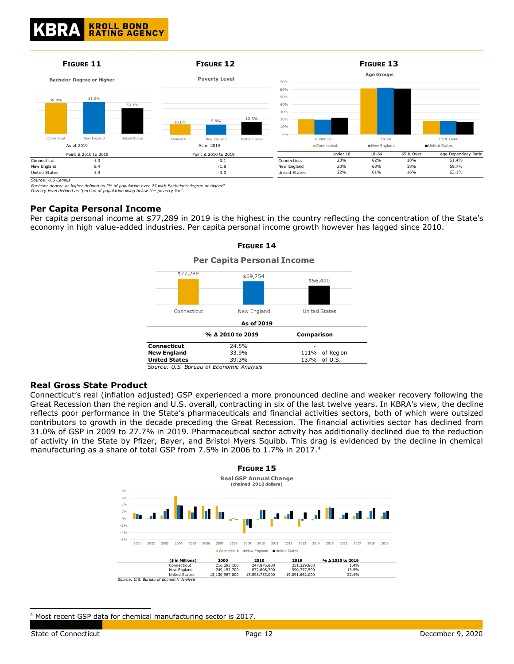

*Source: U.S Census*

*Bachelor degree or higher defined as "% of population over 25 with Bachelor's degree or higher". Poverty level defined as "portion of population living below the poverty line".*

#### **Per Capita Personal Income**

Per capita personal income at \$77,289 in 2019 is the highest in the country reflecting the concentration of the State's economy in high value-added industries. Per capita personal income growth however has lagged since 2010.



# **FIGURE 14 Per Capita Personal Income**

*Source: U.S. Bureau of Economic Analysis*

#### **Real Gross State Product**

Connecticut's real (inflation adjusted) GSP experienced a more pronounced decline and weaker recovery following the Great Recession than the region and U.S. overall, contracting in six of the last twelve years. In KBRA's view, the decline reflects poor performance in the State's pharmaceuticals and financial activities sectors, both of which were outsized contributors to growth in the decade preceding the Great Recession. The financial activities sector has declined from 31.0% of GSP in 2009 to 27.7% in 2019. Pharmaceutical sector activity has additionally declined due to the reduction of activity in the State by Pfizer, Bayer, and Bristol Myers Squibb. This drag is evidenced by the decline in chemical manufacturing as a share of total GSP from 7.5% in 2006 to 1.7% in 2017.<sup>4</sup>



<sup>4</sup> Most recent GSP data for chemical manufacturing sector is 2017.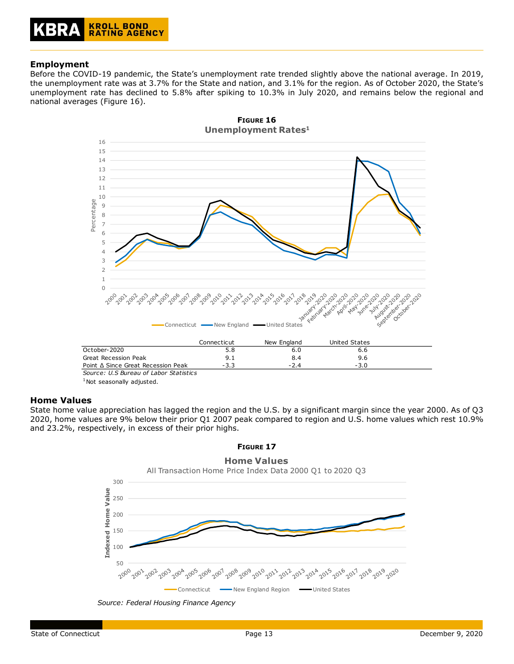# **Employment**

Before the COVID-19 pandemic, the State's unemployment rate trended slightly above the national average. In 2019, the unemployment rate was at 3.7% for the State and nation, and 3.1% for the region. As of October 2020, the State's unemployment rate has declined to 5.8% after spiking to 10.3% in July 2020, and remains below the regional and national averages (Figure 16).



*Source: U.S Bureau of Labor Statistics*

 $1$ Not seasonally adjusted.

# **Home Values**

State home value appreciation has lagged the region and the U.S. by a significant margin since the year 2000. As of Q3 2020, home values are 9% below their prior Q1 2007 peak compared to region and U.S. home values which rest 10.9% and 23.2%, respectively, in excess of their prior highs.